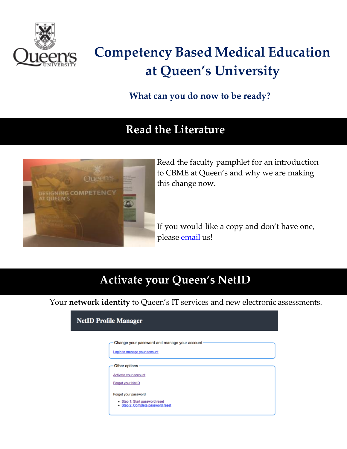

## **Competency Based Medical Education at Queen's University**

**What can you do now to be ready?**

#### **Read the Literature**



Read the faculty pamphlet for an introduction to CBME at Queen's and why we are making this change now.

If you would like a copy and don't have one, please [email](mailto:cbme@queensu.ca) us!

### **Activate your Queen's NetID**

Your **network identity** to Queen's IT services and new electronic assessments.

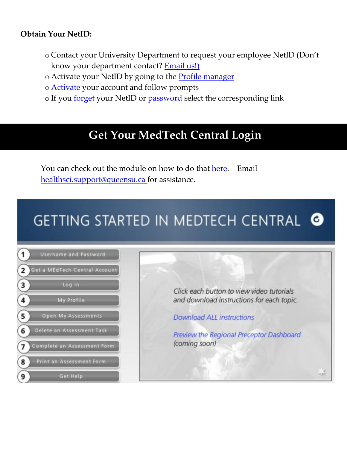#### **Obtain Your NetID:**

- o Contact your University Department to request your employee NetID (Don't know your department contact? **[Email](mailto:cbme@queensu.ca) us!**)
- o Activate your NetID by going to the **Profile [manager](https://netid.queensu.ca/selfservice/)**
- o [Activate](https://netid.queensu.ca/selfservice/accountClaim/find) your account and follow prompts
- o If you [forget](https://netid.queensu.ca/selfservice/home/forgotNetId) your NetID or [password](https://netid.queensu.ca/selfservice/accountRecovery/find) select the corresponding link

### **Get Your MedTech Central Login**

You can check out the module on how to do that [here.](https://qshare.queensu.ca/Groups/School%20of%20Medicine/Assets/Public/Storyline/Getting_Started_MEdTech_Central/story_html5.html) I Email [healthsci.support@queensu.ca](mailto:healthsci.support@queensu.ca) for assistance.

## **GETTING STARTED IN MEDTECH CENTRAL @**



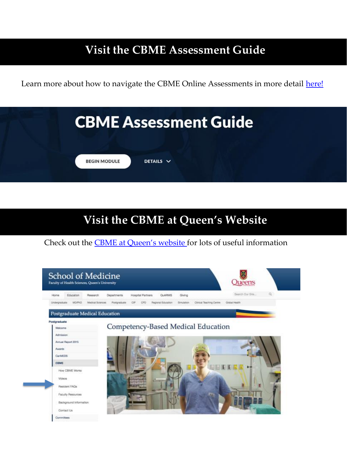#### **Visit the CBME Assessment Guide**

Learn more about how to navigate the CBME Online Assessments in m[ore det](https://bit.ly/cbmefrontline)ail here!

|                     | <b>CBME Assessment Guide</b> |  |
|---------------------|------------------------------|--|
| <b>BEGIN MODULE</b> | DETAILS $\vee$               |  |

#### **Visit the CBME at Queen's Website**

Check out the CBME at Queen's [website](https://meds.queensu.ca/education/postgraduate/cbme) for lots of useful information

|                                | Hospital Partners<br><b>QUARMS</b><br>Giving<br>Research<br>Departments                                       | Search Our Site<br>$\alpha$ |
|--------------------------------|---------------------------------------------------------------------------------------------------------------|-----------------------------|
| <b>MD/PhD</b><br>Undergraduate | Regional Education<br>Clinical Teaching Centre<br>Madical Sciences<br>Postgraduate<br>C#<br>CRD<br>Simulation | Global Hearth               |
| Postgraduate Medical Education |                                                                                                               |                             |
| Postgraduate                   |                                                                                                               |                             |
| Welcome                        | Competency-Based Medical Education                                                                            |                             |
| Admission                      |                                                                                                               |                             |
| Armual Report 2015             |                                                                                                               |                             |
| <b>Awards:</b>                 |                                                                                                               |                             |
| CarMEDS                        |                                                                                                               |                             |
| CBME                           |                                                                                                               |                             |
| How CBME Works                 |                                                                                                               |                             |
|                                |                                                                                                               |                             |
| Videos                         |                                                                                                               |                             |
| Resident FAOs                  |                                                                                                               |                             |
| <b>Faculty Resources</b>       |                                                                                                               |                             |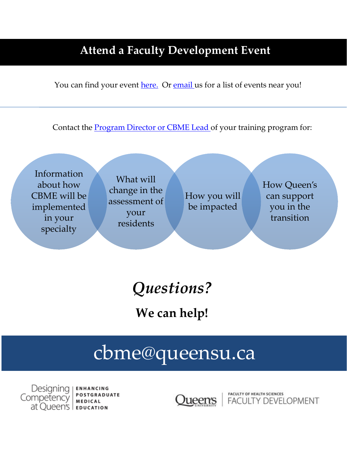#### **Attend a Faculty Development Event**

You can find your event [here.](http://healthsci.queensu.ca/education/faculty_development/programs_new) Or [email](mailto:fac.dev@queensu.ca) us for a list of events near you!

Contact the [Program](http://meds.queensu.ca/postgrad/programs/program_listings) Director or CBME Lead of your training program for:

Information about how CBME will be implemented in your specialty

What will change in the assessment of your residents

How you will be impacted

How Queen's can support you in the transition

*Questions?*

**We can help!**

# [cbme@queensu.ca](mailto:cbme@queensu.ca)

Designing I **ENHANCING POSTGRADUATE** Competency **MEDICAL** at Queen's | EDUCATION

**FACULTY OF HEALTH SCIENCES Lueen's** | FACULTY DEVELOPMENT